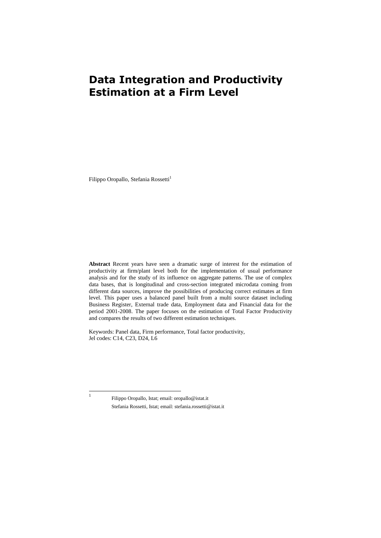# **Data Integration and Productivity Estimation at a Firm Level**

Filippo Oropallo, Stefania Rossetti<sup>1</sup>

**Abstract** Recent years have seen a dramatic surge of interest for the estimation of productivity at firm/plant level both for the implementation of usual performance analysis and for the study of its influence on aggregate patterns. The use of complex data bases, that is longitudinal and cross-section integrated microdata coming from different data sources, improve the possibilities of producing correct estimates at firm level. This paper uses a balanced panel built from a multi source dataset including Business Register, External trade data, Employment data and Financial data for the period 2001-2008. The paper focuses on the estimation of Total Factor Productivity and compares the results of two different estimation techniques.

Keywords: Panel data, Firm performance, Total factor productivity, Jel codes: C14, C23, D24, L6

|<br>|

Filippo Oropallo, Istat; email: oropallo@istat.it Stefania Rossetti, Istat; email: stefania.rossetti@istat.it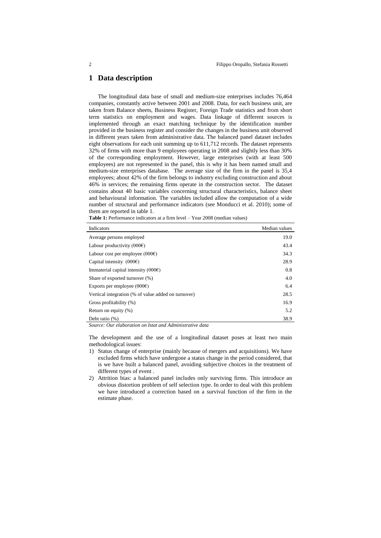## **1 Data description**

The longitudinal data base of small and medium-size enterprises includes 76,464 companies, constantly active between 2001 and 2008. Data, for each business unit, are taken from Balance sheets, Business Register, Foreign Trade statistics and from short term statistics on employment and wages. Data linkage of different sources is implemented through an exact matching technique by the identification number provided in the business register and consider the changes in the business unit observed in different years taken from administrative data. The balanced panel dataset includes eight observations for each unit summing up to 611,712 records. The dataset represents 32% of firms with more than 9 employees operating in 2008 and slightly less than 30% of the corresponding employment. However, large enterprises (with at least 500 employees) are not represented in the panel, this is why it has been named small and medium-size enterprises database. The average size of the firm in the panel is 35,4 employees; about 42% of the firm belongs to industry excluding construction and about 46% in services; the remaining firms operate in the construction sector. The dataset contains about 40 basic variables concerning structural characteristics, balance sheet and behavioural information. The variables included allow the computation of a wide number of structural and performance indicators (see Monducci et al. 2010); some of them are reported in table 1.

| Indicators                                               | Median values |
|----------------------------------------------------------|---------------|
| Average persons employed                                 | 19.0          |
| Labour productivity $(000 \epsilon)$                     | 43.4          |
| Labour cost per employee $(000 \in)$                     | 34.3          |
| Capital intensity $(000\varepsilon)$                     | 28.9          |
| Immaterial capital intensity $(000 \epsilon)$            | 0.8           |
| Share of exported turnover (%)                           | 4.0           |
| Exports per employee $(000 \in)$                         | 6.4           |
| Vertical integration (% of value added on turnover)      | 28.5          |
| Gross profitability (%)                                  | 16.9          |
| Return on equity (%)                                     | 5.2           |
| Debt ratio $(\%)$                                        | 38.9          |
| Source: Our elaboration on Istat and Administrative data |               |

Table 1: Performance indicators at a firm level – Year 2008 (median values)

The development and the use of a longitudinal dataset poses at least two main methodological issues:

- 1) Status change of enterprise (mainly because of mergers and acquisitions). We have excluded firms which have undergone a status change in the period considered, that is we have built a balanced panel, avoiding subjective choices in the treatment of different types of event .
- 2) Attrition bias: a balanced panel includes only surviving firms. This introduce an obvious distortion problem of self selection type. In order to deal with this problem we have introduced a correction based on a survival function of the firm in the estimate phase.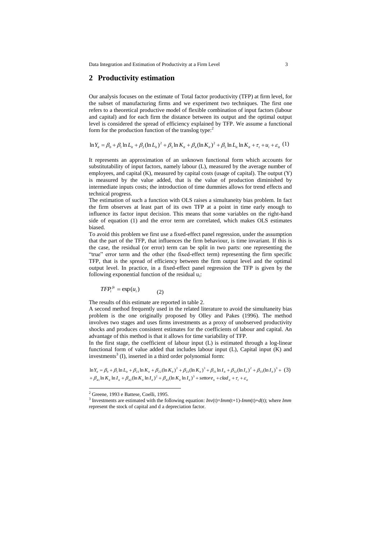Data Integration and Estimation of Productivity at a Firm Level 3

#### **2 Productivity estimation**

Our analysis focuses on the estimate of Total factor productivity (TFP) at firm level, for the subset of manufacturing firms and we experiment two techniques. The first one refers to a theoretical productive model of flexible combination of input factors (labour and capital) and for each firm the distance between its output and the optimal output level is considered the spread of efficiency explained by TFP. We assume a functional form for the production function of the translog type: $<sup>2</sup>$ </sup>

$$
\ln Y_{ii} = \beta_0 + \beta_1 \ln L_{ii} + \beta_2 (\ln L_{ii})^2 + \beta_3 \ln K_{ii} + \beta_4 (\ln K_{ii})^2 + \beta_5 \ln L_{ii} \ln K_{ii} + \tau_i + u_i + \varepsilon_{ii} (1)
$$

It represents an approximation of an unknown functional form which accounts for substitutability of input factors, namely labour (L), measured by the average number of employees, and capital (K), measured by capital costs (usage of capital). The output (Y) is measured by the value added, that is the value of production diminished by intermediate inputs costs; the introduction of time dummies allows for trend effects and technical progress.

The estimation of such a function with OLS raises a simultaneity bias problem. In fact the firm observes at least part of its own TFP at a point in time early enough to influence its factor input decision. This means that some variables on the right-hand side of equation (1) and the error term are correlated, which makes OLS estimates biased.

To avoid this problem we first use a fixed-effect panel regression, under the assumption that the part of the TFP, that influences the firm behaviour, is time invariant. If this is the case, the residual (or error) term can be split in two parts: one representing the "true" error term and the other (the fixed-effect term) representing the firm specific TFP, that is the spread of efficiency between the firm output level and the optimal output level. In practice, in a fixed-effect panel regression the TFP is given by the following exponential function of the residual u<sub>i</sub>:

$$
TFP_i^{fe} = \exp(u_i) \tag{2}
$$

The results of this estimate are reported in table 2.

A second method frequently used in the related literature to avoid the simultaneity bias problem is the one originally proposed by Olley and Pakes (1996). The method involves two stages and uses firms investments as a proxy of unobserved productivity shocks and produces consistent estimates for the coefficients of labour and capital. An advantage of this method is that it allows for time variability of TFP.

In the first stage, the coefficient of labour input (L) is estimated through a log-linear functional form of value added that includes labour input (L), Capital input (K) and investments<sup>3</sup> (I), inserted in a third order polynomial form:

 $\int_{t}^{t} + \beta_{41} \ln K_{it} \ln I_{it} + \beta_{42} (\ln K_{it} \ln I_{it})^{2} + \beta_{43} (\ln K_{it} \ln I_{it})^{3} + set to re_{it} + clad_{it} + \tau_{t} + \varepsilon_{it}$  $Y_{ii} = \beta_0 + \beta_1 \ln L_{ii} + \beta_{21} \ln K_{ii} + \beta_{22} (\ln K_{ii})^2 + \beta_{23} (\ln K_{ii})^3 + \beta_{31} \ln I_{ii} + \beta_{32} (\ln I_{ii})^2 + \beta_{33} (\ln I_{ii})^3 +$ <br>  $\beta_{41} \ln K_{ii} \ln I_{ii} + \beta_{42} (\ln K_{ii} \ln I_{ii})^2 + \beta_{43} (\ln K_{ii} \ln I_{ii})^3 + \text{set} \text{tree}_{ii} + \text{clad}_{ii} + \tau_i + \varepsilon_{ii}$  $\frac{1}{33}$ 2  $B_{31}$  ln  $I_{it} + \beta_{32}$ 3  $\frac{1}{23}$ 2 In V<sub>it</sub> =  $\beta_0 + \beta_1 \ln L_{ii} + \beta_{21} \ln K_{ii} + \beta_{22} (\ln K_{ii})^2 + \beta_{23} (\ln K_{ii})^3 + \beta_{31} \ln I_{ii} + \beta_{32} (\ln I_{ii})^2 + \beta_{33} (\ln I_{ii})^3 + (3)$ 

 $\overline{a}$ 

<sup>&</sup>lt;sup>2</sup> Greene, 1993 e Battese, Coelli, 1995.

<sup>&</sup>lt;sup>3</sup> Investments are estimated with the following equation:  $Inv(t)=Imm(t+1)-Imm(t)+d(t)$ ; where *Imm* represent the stock of capital and d a depreciation factor.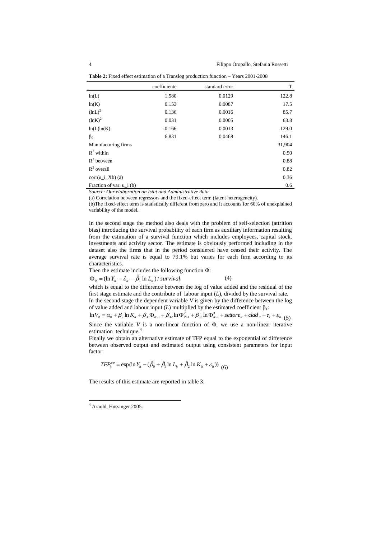|                           | coefficiente | standard error | T        |
|---------------------------|--------------|----------------|----------|
| ln(L)                     | 1.580        | 0.0129         | 122.8    |
| ln(K)                     | 0.153        | 0.0087         | 17.5     |
| $(lnL)^2$                 | 0.136        | 0.0016         | 85.7     |
| $(lnK)^2$                 | 0.031        | 0.0005         | 63.8     |
| ln(L)ln(K)                | $-0.166$     | 0.0013         | $-129.0$ |
| $\beta_0$                 | 6.831        | 0.0468         | 146.1    |
| Manufacturing firms       |              |                | 31,904   |
| $R^2$ within              |              |                | 0.50     |
| $R^2$ between             |              |                | 0.88     |
| $R^2$ overall             |              |                | 0.82     |
| $corr(u_i, Xb)$ (a)       |              |                | 0.36     |
| Fraction of var. $u_i(b)$ |              |                | 0.6      |

Table 2: Fixed effect estimation of a Translog production function – Years 2001-2008

*Source: Our elaboration on Istat and Administrative data*

(a) Correlation between regressors and the fixed-effect term (latent heterogeneity).

(b)The fixed-effect term is statistically different from zero and it accounts for 60% of unexplained variability of the model.

In the second stage the method also deals with the problem of self-selection (attrition bias) introducing the survival probability of each firm as auxiliary information resulting from the estimation of a survival function which includes employees, capital stock, investments and activity sector. The estimate is obviously performed including in the dataset also the firms that in the period considered have ceased their activity. The average survival rate is equal to 79.1% but varies for each firm according to its characteristics.

Then the estimate includes the following function Φ:

$$
\Phi_{it} = (\ln Y_{it} - \hat{\varepsilon}_{it} - \hat{\beta}_1 \ln L_{it}) / \text{survival}_i \tag{4}
$$

which is equal to the difference between the log of value added and the residual of the first stage estimate and the contribute of labour input (*L*), divided by the survival rate. In the second stage the dependent variable *V* is given by the difference between the log of value added and labour input  $(L)$  multiplied by the estimated coefficient  $\beta_1$ :

 $V_{it} = \alpha_0 + \beta_2 \ln K_{it} + \beta_{31} \Phi_{it-1} + \beta_{32} \ln \Phi_{it-1}^2 + \beta_{33} \ln \Phi_{it-1}^3 + \text{set} \text{tree}_{it} + \text{clad}_{it} + \tau_t + \varepsilon_{it}$ by the est<br> $B_{33}$  ln  $\Phi_{it-1}^3$ 2 of value added and labour input (*L*) multiplied by the estimated coefficient  $\beta_1$ :<br>  $\ln V_{ii} = \alpha_0 + \beta_2 \ln K_{ii} + \beta_{31} \Phi_{ii-1} + \beta_{32} \ln \Phi_{ii-1}^2 + \beta_{33} \ln \Phi_{ii-1}^3 + \text{set} \text{tree}_{ii} + \text{clad}_{ii} + \tau_i + \varepsilon_{ii}$  (5)

Since the variable *V* is a non-linear function of Φ, we use a non-linear iterative estimation technique. 4

Finally we obtain an alternative estimate of TFP equal to the exponential of difference between observed output and estimated output using consistent parameters for input factor:

 $TFP_{ii}^{op} = \exp(\ln Y_{ii} - (\hat{\beta}_0 + \hat{\beta}_1 \ln L_{ii} + \hat{\beta}_2 \ln K_{ii} + \varepsilon_{ii}))$  (6)

The results of this estimate are reported in table 3.

 $\overline{a}$ 

<sup>&</sup>lt;sup>4</sup> Arnold, Hussinger 2005.